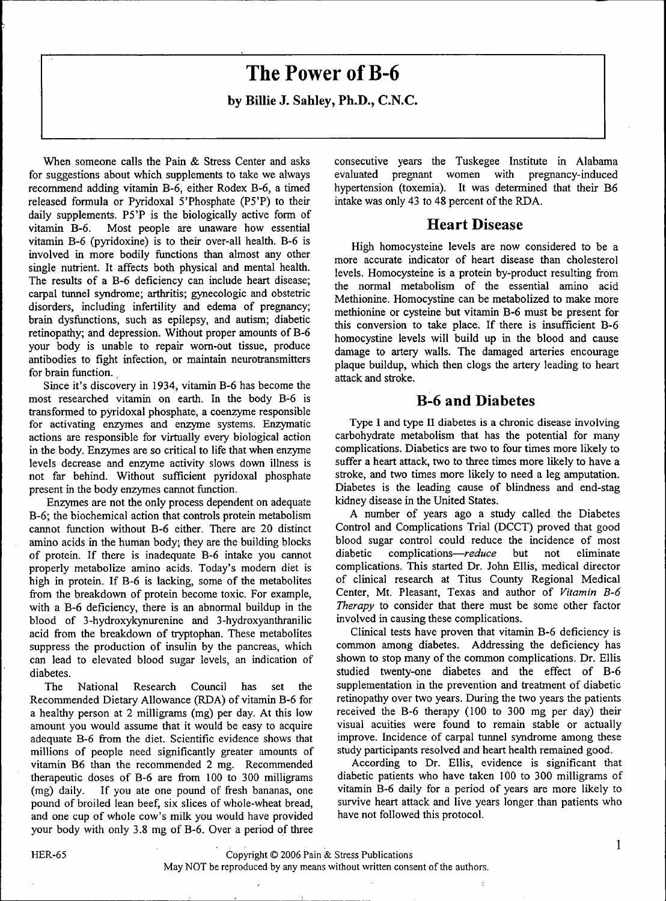# **The Power of B-6**

by Billie J. Sahley, Ph.D., C.N.C.

When someone calls the Pain & Stress Center and asks for suggestions about which supplements to take we always recommend adding vitamin B-6, either Rodex B-6, a timed released formula or Pyridoxal 5'Phosphate (P5'P) to their daily supplements. P5'P is the biologically active form of vitamin B-6. Most people are unaware how essential vitamin B-6 (pyridoxine) is to their over-all health. B-6 is involved in more bodily functions than almost any other single nutrient. It affects both physical and mental health. The results of a B-6 deficiency can include heart disease; carpal tunnel syndrome; arthritis; gynecologic and obstetric disorders, including infertility and edema of pregnancy; brain dysfunctions, such as epilepsy, and autism; diabetic retinopathy; and depression. Without proper amounts of B-6 your body is unable to repair wom-out tissue, produce antibodies to fight infection, or maintain neurotransmitters for brain function.

Since it's discovery in 1934, vitamin B-6 has become the most researched vitamin on earth. In the body B-6 is transformed to pyridoxal phosphate, a coenzyme responsible for activating enzymes and enzyme systems. Enzymatic actions are responsible for virtually every biological action in the body. Enzymes are so critical to life that when enzyme levels decrease and enzyme activity slows down illness is not far behind. Without sufficient pyridoxal phosphate present in the body enzymes cannot function.

Enzymes are not the only process dependent on adequate B-6; the biochemical action that controls protein metabolism cannot function without B-6 either. There are 20 distinct amino acids in the human body; they are the building blocks of protein. If there is inadequate B-6 intake you cannot properly metabolize amino acids. Today's modem diet is high in protein. If B-6 is lacking, some of the metabolites from the breakdown of protein become toxic. For example, with a B-6 deficiency, there is an abnormal buildup in the blood of 3-hydroxykynurenine and 3-hydroxyanthranilic acid from the breakdown of tryptophan. These metabolites suppress the production of insulin by the pancreas, which can lead to elevated blood sugar levels, an indication of diabetes.

The National Research Council has set the Recommended Dietary Allowance (RDA) of vitamin B-6 for a healthy person at 2 milligrams (mg) per day. At this low amount you would assume that it would be easy to acquire adequate B-6 from the diet. Scientific evidence shows that millions of people need significantly greater amounts of vitamin B6 than the recommended 2 mg. Recommended therapeutic doses of B-6 are from 100 to 300 milligrams (mg) daily. If you ate one pound of fresh bananas, one pound of broiled lean beef, six slices of whole-wheat bread, and one cup of whole cow's milk you would have provided your body with only 3.8 mg of B-6. Over a period of three

consecutive years the Tuskegee Institute in Alabama evaluated pregnant women with pregnancy-induced hypertension (toxemia). It was determined that their B6 intake was only 43 to 48 percent of the RDA.

## Heart Disease

High homocysteine levels are now considered to be a more accurate indicator of heart disease than cholesterol levels. Homocysteine is a protein by-product resulting from the normal metabolism of the essential amino acid Methionine. Homocystine can be metabolized to make more methionine or cysteine but vitamin B-6 must be present for this conversion to take place. If there is insufficient B-6 homocystine levels will build up in the blood and cause damage to artery walls. The damaged arteries encourage plaque buildup, which then clogs the artery leading to heart attack and stroke.

## B-6 and Diabetes

Type I and type II diabetes is a chronic disease involving carbohydrate metabolism that has the potential for many complications. Diabetics are two to four times more likely to suffer a heart attack, two to three times more likely to have a stroke, and two times more likely to need a leg amputation. Diabetes is the leading cause of blindness and end-stag kidney disease in the United States.

A number of years ago a study called the Diabetes Control and Complications Trial (DCCT) proved that good blood sugar control could reduce the incidence of most diabetic complications—*reduce* but not eliminate complications. This started Dr. John Ellis, medical director of clinical research at Titus County Regional Medical Center, Mt. Pleasant, Texas and author of *Vitamin B-6 Therapy* to consider that there must be some other factor involved in causing these complications.

Clinical tests have proven that vitamin B-6 deficiency is common among diabetes. Addressing the deficiency has shown to stop many of the common complications. Dr. Ellis studied twenty-one diabetes and the effect of B-6 supplementation in the prevention and treatment of diabetic retinopathy over two years. During the two years the patients received the B-6 therapy (100 to 300 mg per day) their visual acuities were found to remain stable or actually improve. Incidence of carpal tunnel syndrome among these study participants resolved and heart health remained good.

According to Dr. Ellis, evidence is significant that diabetic patients who have taken 100 to 300 milligrams of vitamin B-6 daily for a period of years are more likely to survive heart attack and live years longer than patients who have not followed this protocol.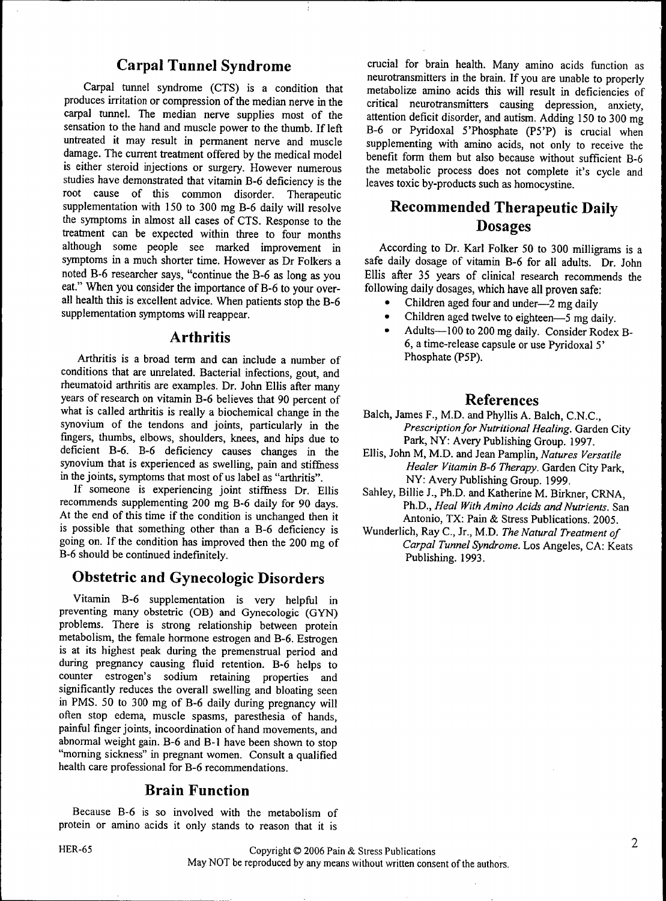## Carpal Tunnel Syndrome

Carpal tunnel syndrome (CTS) is a condition that produces irritation or compression of the median nerve in the carpal tunnel. The median nerve supplies most of the sensation to the hand and muscle power to the thumb. If left untreated it may result in permanent nerve and muscle damage. The current treatment offered by the medical model is either steroid injections or surgery. However numerous studies have demonstrated that vitamin B-6 deficiency is the root cause of this common disorder. Therapeutic supplementation with 150 to 300 mg B-6 daily will resolve the symptoms in almost all cases of CTS. Response to the treatment can be expected within three to four months although some people see marked improvement in symptoms in a much shorter time. However as Dr Folkers a noted B-6 researcher says, "continue the B-6 as long as you eat." When you consider the importance of B-6 to your overall health this is excellent advice. When patients stop the B-6 supplementation symptoms will reappear.

#### Arthritis

Arthritis is a broad term and can include a number of conditions that are unrelated. Bacterial infections, gout, and rheumatoid arthritis are examples. Dr. John Ellis after many years of research on vitamin B-6 believes that 90 percent of what is called arthritis is really a biochemical change in the synovium of the tendons and joints, particularly in the fingers, thumbs, elbows, shoulders, knees, and hips due to deficient B-6. B-6 deficiency causes changes in the synovium that is experienced as swelling, pain and stiffness in the joints, symptoms that most of us label as "arthritis".

If someone is experiencing joint stiffness Dr. Ellis recommends supplementing 200 mg B-6 daily for 90 days. At the end of this time if the condition is unchanged then it is possible that something other than a B-6 deficiency is going on. If the condition has improved then the 200 mg of B-6 should be continued indefinitely.

## Obstetric and Gynecologic Disorders

Vitamin B-6 supplementation is very helpful in preventing many obstetric (OB) and Gynecologic (GYN) problems. There is strong relationship between protein metabolism, the female hormone estrogen and B-6. Estrogen is at its highest peak during the premenstrual period and during pregnancy causing fluid retention. B-6 helps to counter estrogen's sodium retaining properties and significantly reduces the overall swelling and bloating seen in PMS. 50 to 300 mg of B-6 daily during pregnancy will often stop edema, muscle spasms, paresthesia of hands, painful finger joints, incoordination of hand movements, and abnormal weight gain. B-6 and B-1 have been shown to stop "moming sickness" in pregnant women. Consult a qualified health care professional for B-6 recommendations.

## Brain Function

Because B-6 is so involved with the metabolism of protein or amino acids it only stands to reason that it is

crucial for brain health. Many amino acids function as neurotransmitters in the brain. If you are unable to properly metabolize amino acids this will result in deficiencies of critical neurotransmitters causing depression, anxiety, attention deficit disorder, and autism. Adding 150 to 300 mg B-6 or Pyridoxai 5'Phosphate (P5'P) is crucial when supplementing with amino acids, not only to receive the benefit form them but also because without sufficient B-6 the metabolic process does not complete it's cycle and leaves toxic by-products such as homocystine.

## Recommended Therapeutic Daily Dosages

According to Dr. Karl Folker 50 to 300 milligrams is a safe daily dosage of vitamin B-6 for all adults. Dr. John Ellis after 35 years of clinical research recommends the following daily dosages, which have all proven safe:

- Children aged four and under—2 mg daily
- Children aged twelve to eighteen—5 mg daily.
- Adults—100 to 200 mg daily. Consider Rodex B-6, a time-release capsule or use Pyridoxai 5' Phosphate (P5P).

## References

- Balch, James F., M.D. and Phyllis A. Balch, C.N.C, *Prescription for Nutritional Healing.* Garden City Park, NY: Avery Publishing Group. 1997.
- Ellis, John M, M.D. and Jean Pamplin, *Natures Versatile Healer Vitamin B-6 Therapy.* Garden City Park, NY: Avery Publishing Group. 1999.
- Sahley, Billie J., Ph.D. and Katherine M. Birkner, CRNA, Ph.D., *Heal With Amino Acids and Nutrients.* San Antonio, TX: Pain & Stress Publications. 2005.
- Wunderlich, Ray C, Jr., M.D. *The Natural Treatment of Carpal Tunnel Syndrome.* Los Angeles, CA: Keats Publishing. 1993.